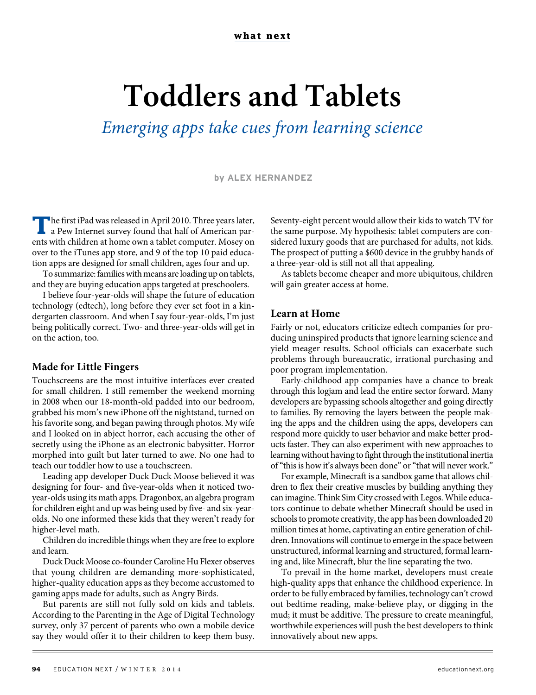# **Toddlers and Tablets**

Emerging apps take cues from learning science

#### **by ALEX HERNANDEZ**

**T**he first iPad was released in April 2010. Three years later, a Pew Internet survey found that half of American parents with children at home own a tablet computer. Mosey on over to the iTunes app store, and 9 of the top 10 paid education apps are designed for small children, ages four and up.

To summarize: families with means are loading up on tablets, and they are buying education apps targeted at preschoolers.

I believe four-year-olds will shape the future of education technology (edtech), long before they ever set foot in a kindergarten classroom. And when I say four-year-olds, I'm just being politically correct. Two- and three-year-olds will get in on the action, too.

#### **Made for Little Fingers**

Touchscreens are the most intuitive interfaces ever created for small children. I still remember the weekend morning in 2008 when our 18-month-old padded into our bedroom, grabbed his mom's new iPhone off the nightstand, turned on his favorite song, and began pawing through photos. My wife and I looked on in abject horror, each accusing the other of secretly using the iPhone as an electronic babysitter. Horror morphed into guilt but later turned to awe. No one had to teach our toddler how to use a touchscreen.

Leading app developer Duck Duck Moose believed it was designing for four- and five-year-olds when it noticed twoyear-olds using its math apps. Dragonbox, an algebra program for children eight and up was being used by five- and six-yearolds. No one informed these kids that they weren't ready for higher-level math.

Children do incredible things when they are free to explore and learn.

Duck Duck Moose co-founder Caroline Hu Flexer observes that young children are demanding more-sophisticated, higher-quality education apps as they become accustomed to gaming apps made for adults, such as Angry Birds.

But parents are still not fully sold on kids and tablets. According to the Parenting in the Age of Digital Technology survey, only 37 percent of parents who own a mobile device say they would offer it to their children to keep them busy. Seventy-eight percent would allow their kids to watch TV for the same purpose. My hypothesis: tablet computers are considered luxury goods that are purchased for adults, not kids. The prospect of putting a \$600 device in the grubby hands of a three-year-old is still not all that appealing.

As tablets become cheaper and more ubiquitous, children will gain greater access at home.

#### **Learn at Home**

Fairly or not, educators criticize edtech companies for producing uninspired products that ignore learning science and yield meager results. School officials can exacerbate such problems through bureaucratic, irrational purchasing and poor program implementation.

Early-childhood app companies have a chance to break through this logjam and lead the entire sector forward. Many developers are bypassing schools altogether and going directly to families. By removing the layers between the people making the apps and the children using the apps, developers can respond more quickly to user behavior and make better products faster. They can also experiment with new approaches to learning without having to fight through the institutional inertia of "this is how it's always been done" or "that will never work."

For example, Minecraft is a sandbox game that allows children to flex their creative muscles by building anything they can imagine. Think Sim City crossed with Legos. While educators continue to debate whether Minecraft should be used in schools to promote creativity, the app has been downloaded 20 million times at home, captivating an entire generation of children. Innovations will continue to emerge in the space between unstructured, informal learning and structured, formal learning and, like Minecraft, blur the line separating the two.

To prevail in the home market, developers must create high-quality apps that enhance the childhood experience. In order to be fully embraced by families, technology can't crowd out bedtime reading, make-believe play, or digging in the mud; it must be additive. The pressure to create meaningful, worthwhile experiences will push the best developers to think innovatively about new apps.